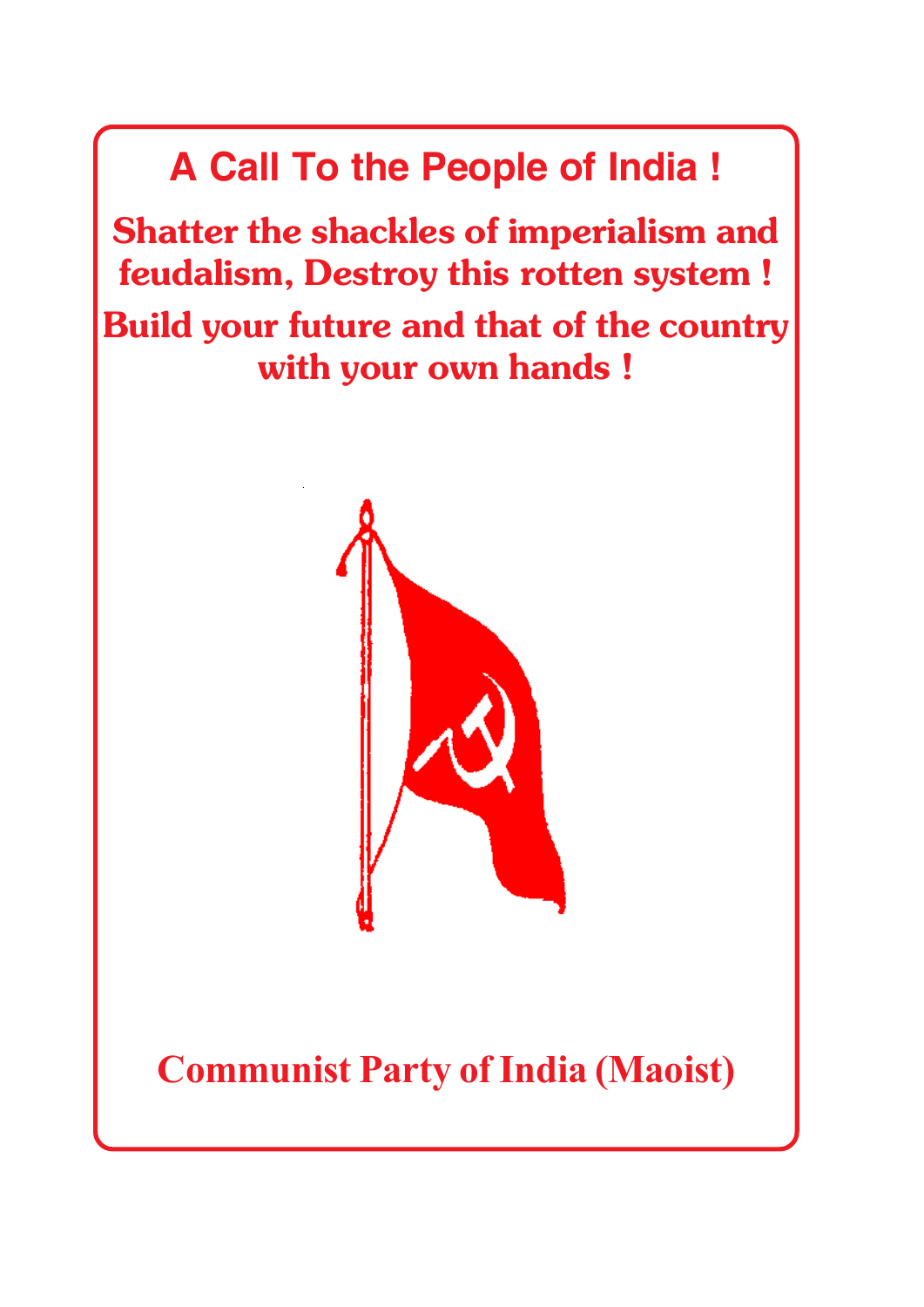# **A Call To the People of India !**

**Shatter the shackles of imperialism and feudalism, Destroy this rotten system ! Build your future and that of the country with your own hands !**



## **Communist Party of India (Maoist)**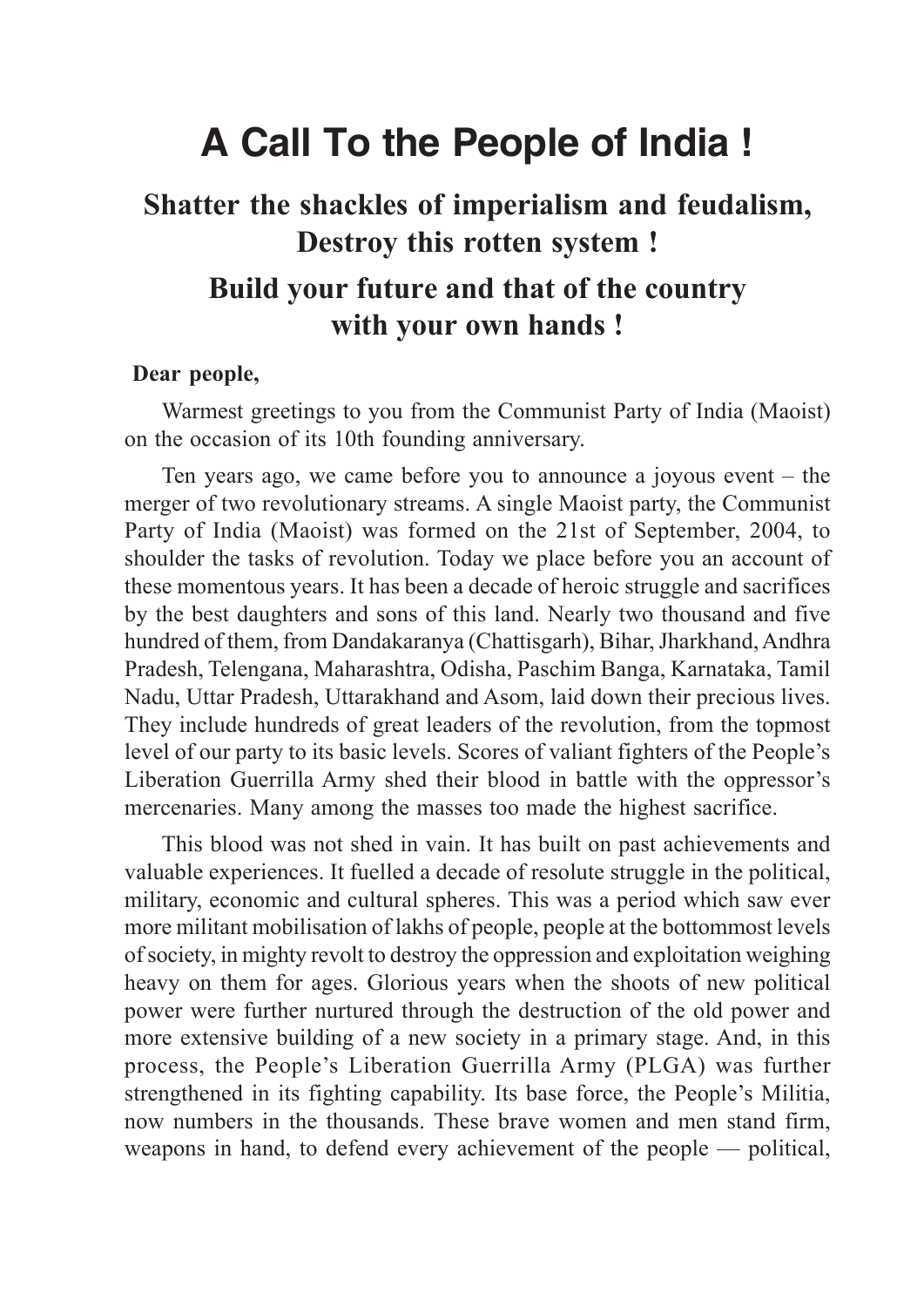# **A Call To the People of India !**

### **Shatter the shackles of imperialism and feudalism, Destroy this rotten system ! Build your future and that of the country with your own hands !**

#### **Dear people,**

Warmest greetings to you from the Communist Party of India (Maoist) on the occasion of its 10th founding anniversary.

Ten years ago, we came before you to announce a joyous event – the merger of two revolutionary streams. A single Maoist party, the Communist Party of India (Maoist) was formed on the 21st of September, 2004, to shoulder the tasks of revolution. Today we place before you an account of these momentous years. It has been a decade of heroic struggle and sacrifices by the best daughters and sons of this land. Nearly two thousand and five hundred of them, from Dandakaranya (Chattisgarh), Bihar, Jharkhand, Andhra Pradesh, Telengana, Maharashtra, Odisha, Paschim Banga, Karnataka, Tamil Nadu, Uttar Pradesh, Uttarakhand and Asom, laid down their precious lives. They include hundreds of great leaders of the revolution, from the topmost level of our party to its basic levels. Scores of valiant fighters of the People's Liberation Guerrilla Army shed their blood in battle with the oppressor's mercenaries. Many among the masses too made the highest sacrifice.

This blood was not shed in vain. It has built on past achievements and valuable experiences. It fuelled a decade of resolute struggle in the political, military, economic and cultural spheres. This was a period which saw ever more militant mobilisation of lakhs of people, people at the bottommost levels of society, in mighty revolt to destroy the oppression and exploitation weighing heavy on them for ages. Glorious years when the shoots of new political power were further nurtured through the destruction of the old power and more extensive building of a new society in a primary stage. And, in this process, the People's Liberation Guerrilla Army (PLGA) was further strengthened in its fighting capability. Its base force, the People's Militia, now numbers in the thousands. These brave women and men stand firm, weapons in hand, to defend every achievement of the people — political,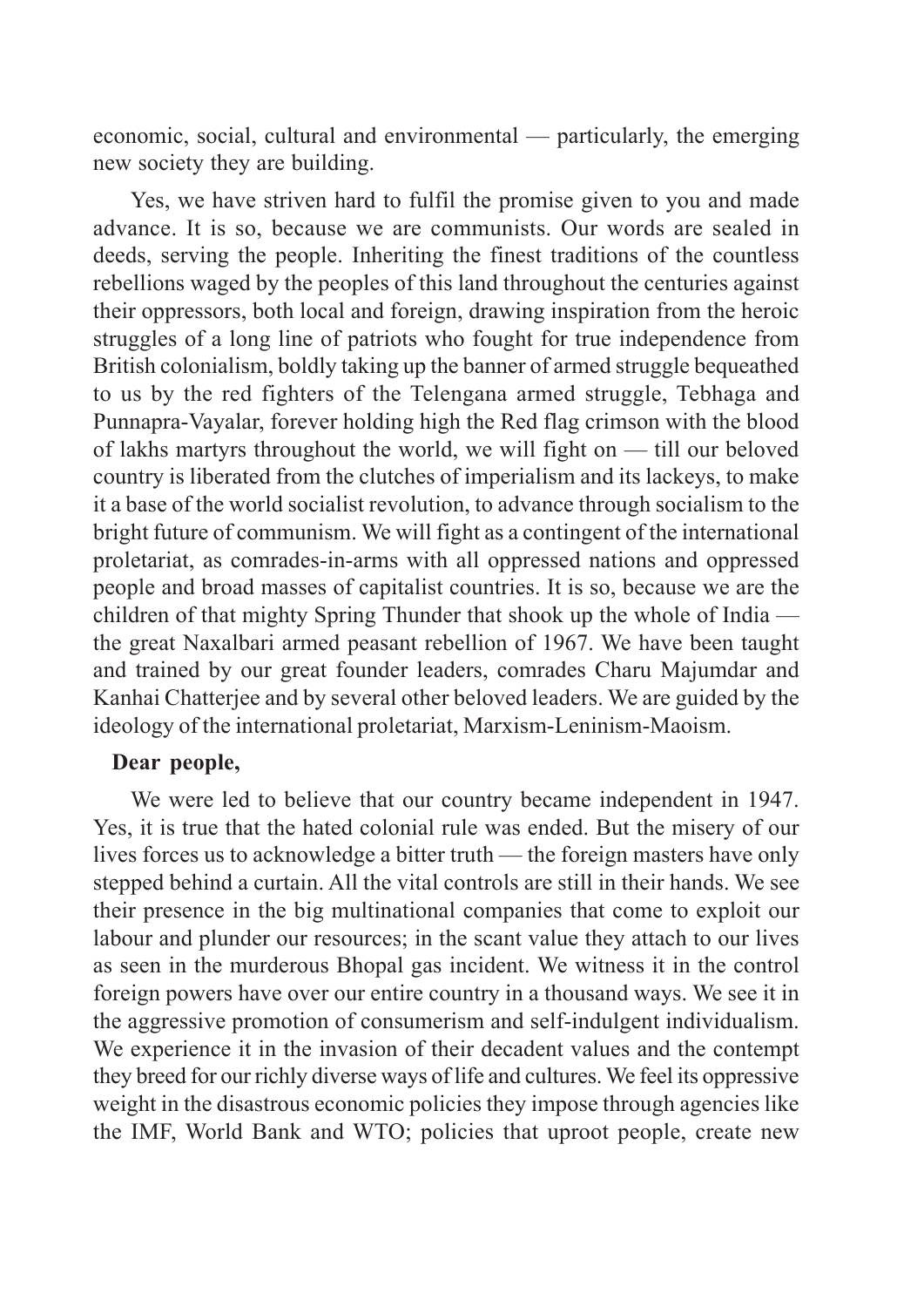economic, social, cultural and environmental — particularly, the emerging new society they are building.

Yes, we have striven hard to fulfil the promise given to you and made advance. It is so, because we are communists. Our words are sealed in deeds, serving the people. Inheriting the finest traditions of the countless rebellions waged by the peoples of this land throughout the centuries against their oppressors, both local and foreign, drawing inspiration from the heroic struggles of a long line of patriots who fought for true independence from British colonialism, boldly taking up the banner of armed struggle bequeathed to us by the red fighters of the Telengana armed struggle, Tebhaga and Punnapra-Vayalar, forever holding high the Red flag crimson with the blood of lakhs martyrs throughout the world, we will fight on — till our beloved country is liberated from the clutches of imperialism and its lackeys, to make it a base of the world socialist revolution, to advance through socialism to the bright future of communism. We will fight as a contingent of the international proletariat, as comrades-in-arms with all oppressed nations and oppressed people and broad masses of capitalist countries. It is so, because we are the children of that mighty Spring Thunder that shook up the whole of India the great Naxalbari armed peasant rebellion of 1967. We have been taught and trained by our great founder leaders, comrades Charu Majumdar and Kanhai Chatterjee and by several other beloved leaders. We are guided by the ideology of the international proletariat, Marxism-Leninism-Maoism.

#### **Dear people,**

We were led to believe that our country became independent in 1947. Yes, it is true that the hated colonial rule was ended. But the misery of our lives forces us to acknowledge a bitter truth — the foreign masters have only stepped behind a curtain. All the vital controls are still in their hands. We see their presence in the big multinational companies that come to exploit our labour and plunder our resources; in the scant value they attach to our lives as seen in the murderous Bhopal gas incident. We witness it in the control foreign powers have over our entire country in a thousand ways. We see it in the aggressive promotion of consumerism and self-indulgent individualism. We experience it in the invasion of their decadent values and the contempt they breed for our richly diverse ways of life and cultures. We feel its oppressive weight in the disastrous economic policies they impose through agencies like the IMF, World Bank and WTO; policies that uproot people, create new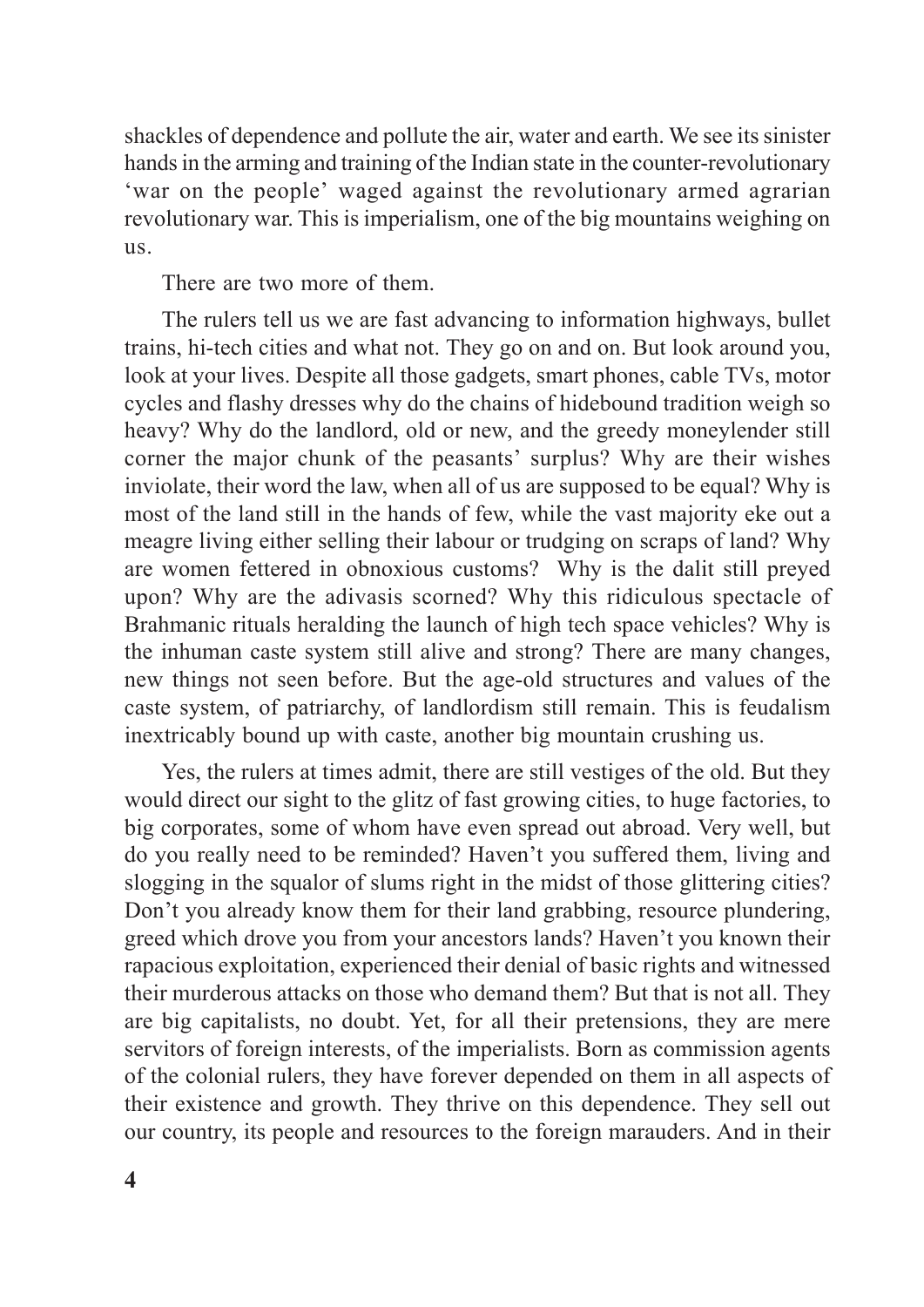shackles of dependence and pollute the air, water and earth. We see its sinister hands in the arming and training of the Indian state in the counter-revolutionary 'war on the people' waged against the revolutionary armed agrarian revolutionary war. This is imperialism, one of the big mountains weighing on us.

There are two more of them.

The rulers tell us we are fast advancing to information highways, bullet trains, hi-tech cities and what not. They go on and on. But look around you, look at your lives. Despite all those gadgets, smart phones, cable TVs, motor cycles and flashy dresses why do the chains of hidebound tradition weigh so heavy? Why do the landlord, old or new, and the greedy moneylender still corner the major chunk of the peasants' surplus? Why are their wishes inviolate, their word the law, when all of us are supposed to be equal? Why is most of the land still in the hands of few, while the vast majority eke out a meagre living either selling their labour or trudging on scraps of land? Why are women fettered in obnoxious customs? Why is the dalit still preyed upon? Why are the adivasis scorned? Why this ridiculous spectacle of Brahmanic rituals heralding the launch of high tech space vehicles? Why is the inhuman caste system still alive and strong? There are many changes, new things not seen before. But the age-old structures and values of the caste system, of patriarchy, of landlordism still remain. This is feudalism inextricably bound up with caste, another big mountain crushing us.

Yes, the rulers at times admit, there are still vestiges of the old. But they would direct our sight to the glitz of fast growing cities, to huge factories, to big corporates, some of whom have even spread out abroad. Very well, but do you really need to be reminded? Haven't you suffered them, living and slogging in the squalor of slums right in the midst of those glittering cities? Don't you already know them for their land grabbing, resource plundering, greed which drove you from your ancestors lands? Haven't you known their rapacious exploitation, experienced their denial of basic rights and witnessed their murderous attacks on those who demand them? But that is not all. They are big capitalists, no doubt. Yet, for all their pretensions, they are mere servitors of foreign interests, of the imperialists. Born as commission agents of the colonial rulers, they have forever depended on them in all aspects of their existence and growth. They thrive on this dependence. They sell out our country, its people and resources to the foreign marauders. And in their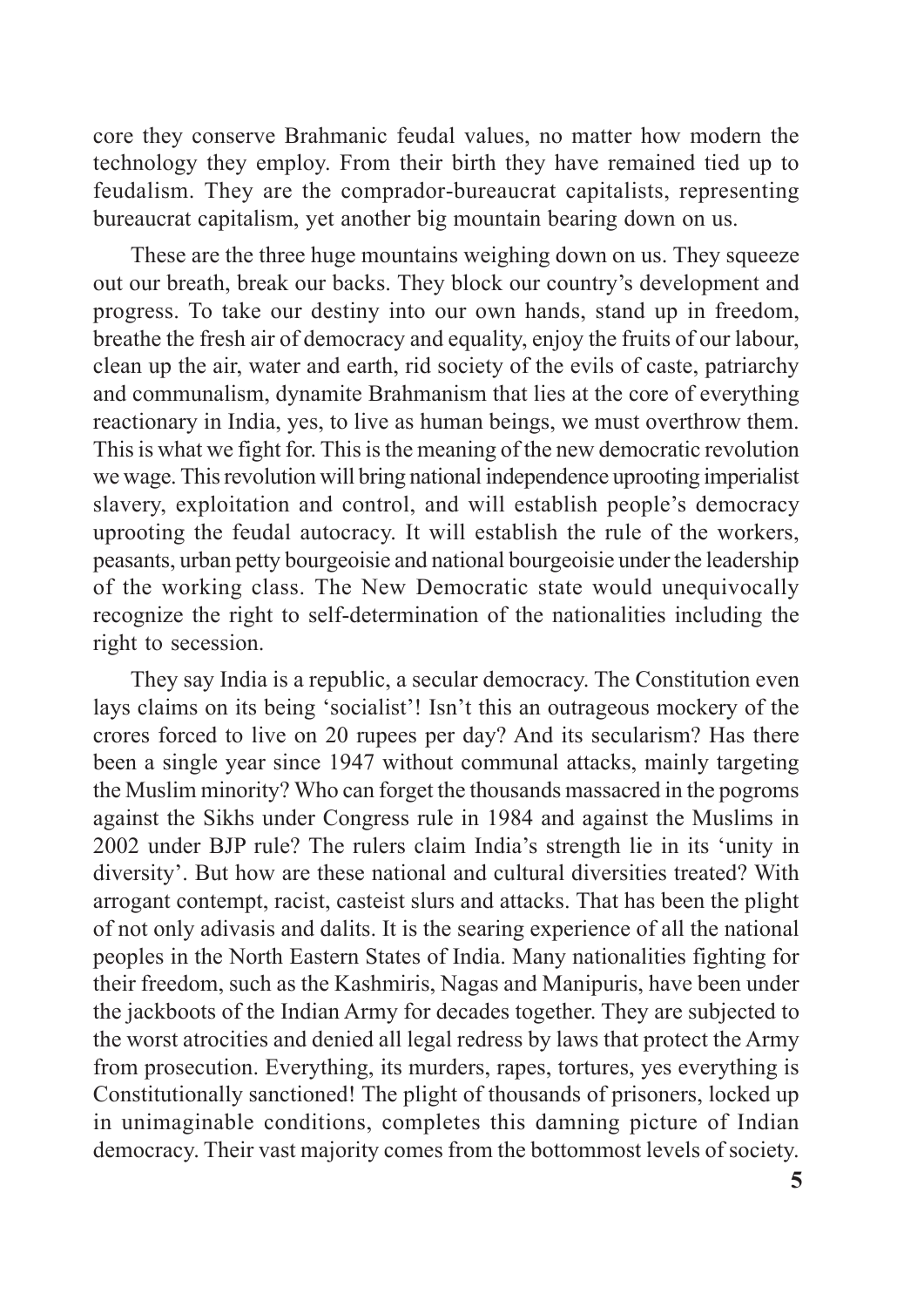core they conserve Brahmanic feudal values, no matter how modern the technology they employ. From their birth they have remained tied up to feudalism. They are the comprador-bureaucrat capitalists, representing bureaucrat capitalism, yet another big mountain bearing down on us.

These are the three huge mountains weighing down on us. They squeeze out our breath, break our backs. They block our country's development and progress. To take our destiny into our own hands, stand up in freedom, breathe the fresh air of democracy and equality, enjoy the fruits of our labour, clean up the air, water and earth, rid society of the evils of caste, patriarchy and communalism, dynamite Brahmanism that lies at the core of everything reactionary in India, yes, to live as human beings, we must overthrow them. This is what we fight for. This is the meaning of the new democratic revolution we wage. This revolution will bring national independence uprooting imperialist slavery, exploitation and control, and will establish people's democracy uprooting the feudal autocracy. It will establish the rule of the workers, peasants, urban petty bourgeoisie and national bourgeoisie under the leadership of the working class. The New Democratic state would unequivocally recognize the right to self-determination of the nationalities including the right to secession.

They say India is a republic, a secular democracy. The Constitution even lays claims on its being 'socialist'! Isn't this an outrageous mockery of the crores forced to live on 20 rupees per day? And its secularism? Has there been a single year since 1947 without communal attacks, mainly targeting the Muslim minority? Who can forget the thousands massacred in the pogroms against the Sikhs under Congress rule in 1984 and against the Muslims in 2002 under BJP rule? The rulers claim India's strength lie in its 'unity in diversity'. But how are these national and cultural diversities treated? With arrogant contempt, racist, casteist slurs and attacks. That has been the plight of not only adivasis and dalits. It is the searing experience of all the national peoples in the North Eastern States of India. Many nationalities fighting for their freedom, such as the Kashmiris, Nagas and Manipuris, have been under the jackboots of the Indian Army for decades together. They are subjected to the worst atrocities and denied all legal redress by laws that protect the Army from prosecution. Everything, its murders, rapes, tortures, yes everything is Constitutionally sanctioned! The plight of thousands of prisoners, locked up in unimaginable conditions, completes this damning picture of Indian democracy. Their vast majority comes from the bottommost levels of society.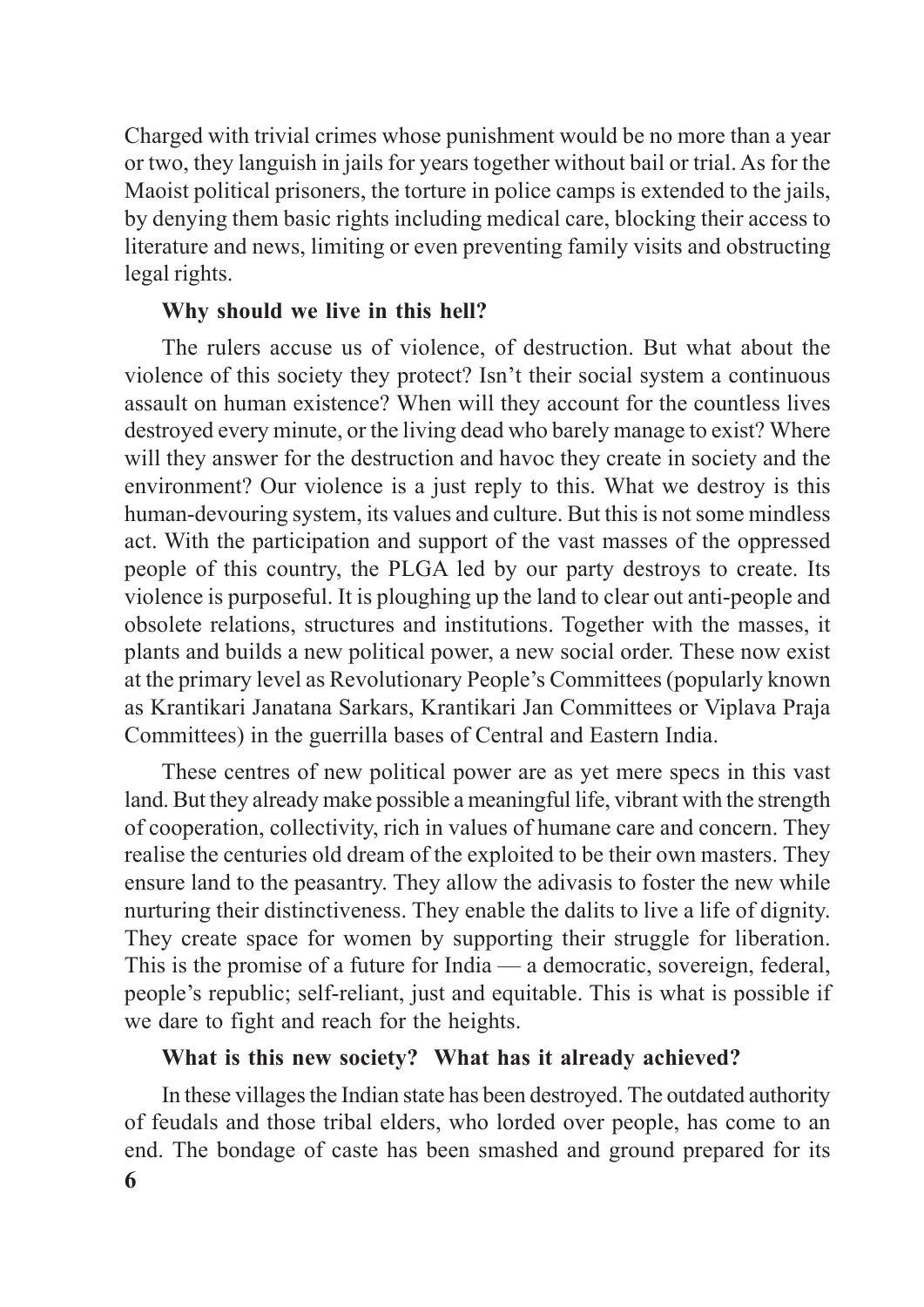Charged with trivial crimes whose punishment would be no more than a year or two, they languish in jails for years together without bail or trial. As for the Maoist political prisoners, the torture in police camps is extended to the jails, by denying them basic rights including medical care, blocking their access to literature and news, limiting or even preventing family visits and obstructing legal rights.

#### **Why should we live in this hell?**

The rulers accuse us of violence, of destruction. But what about the violence of this society they protect? Isn't their social system a continuous assault on human existence? When will they account for the countless lives destroyed every minute, or the living dead who barely manage to exist? Where will they answer for the destruction and havoc they create in society and the environment? Our violence is a just reply to this. What we destroy is this human-devouring system, its values and culture. But this is not some mindless act. With the participation and support of the vast masses of the oppressed people of this country, the PLGA led by our party destroys to create. Its violence is purposeful. It is ploughing up the land to clear out anti-people and obsolete relations, structures and institutions. Together with the masses, it plants and builds a new political power, a new social order. These now exist at the primary level as Revolutionary People's Committees (popularly known as Krantikari Janatana Sarkars, Krantikari Jan Committees or Viplava Praja Committees) in the guerrilla bases of Central and Eastern India.

These centres of new political power are as yet mere specs in this vast land. But they already make possible a meaningful life, vibrant with the strength of cooperation, collectivity, rich in values of humane care and concern. They realise the centuries old dream of the exploited to be their own masters. They ensure land to the peasantry. They allow the adivasis to foster the new while nurturing their distinctiveness. They enable the dalits to live a life of dignity. They create space for women by supporting their struggle for liberation. This is the promise of a future for India — a democratic, sovereign, federal, people's republic; self-reliant, just and equitable. This is what is possible if we dare to fight and reach for the heights.

### **What is this new society? What has it already achieved?**

**6** In these villages the Indian state has been destroyed. The outdated authority of feudals and those tribal elders, who lorded over people, has come to an end. The bondage of caste has been smashed and ground prepared for its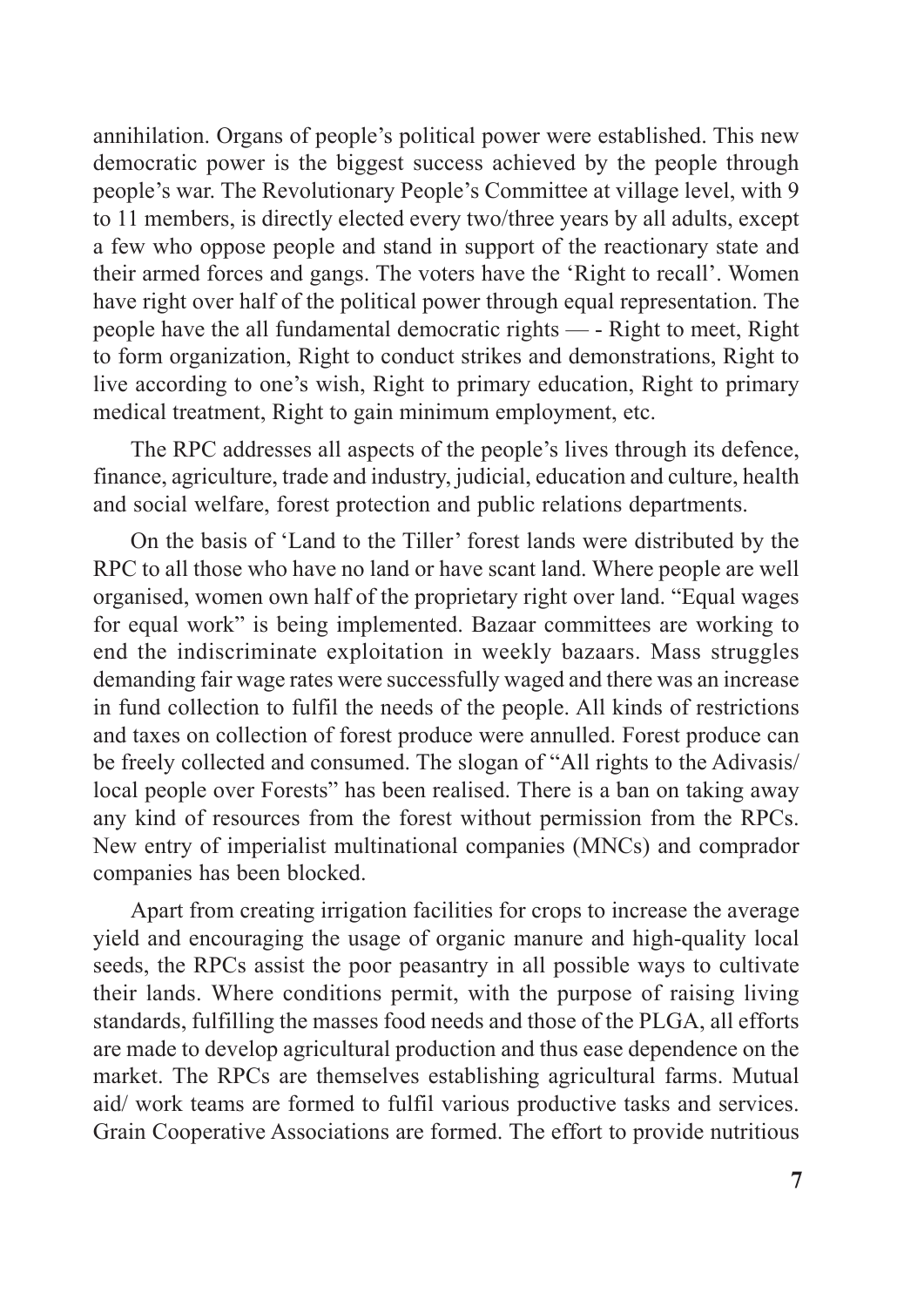annihilation. Organs of people's political power were established. This new democratic power is the biggest success achieved by the people through people's war. The Revolutionary People's Committee at village level, with 9 to 11 members, is directly elected every two/three years by all adults, except a few who oppose people and stand in support of the reactionary state and their armed forces and gangs. The voters have the 'Right to recall'. Women have right over half of the political power through equal representation. The people have the all fundamental democratic rights — - Right to meet, Right to form organization, Right to conduct strikes and demonstrations, Right to live according to one's wish, Right to primary education, Right to primary medical treatment, Right to gain minimum employment, etc.

The RPC addresses all aspects of the people's lives through its defence, finance, agriculture, trade and industry, judicial, education and culture, health and social welfare, forest protection and public relations departments.

On the basis of 'Land to the Tiller' forest lands were distributed by the RPC to all those who have no land or have scant land. Where people are well organised, women own half of the proprietary right over land. "Equal wages for equal work" is being implemented. Bazaar committees are working to end the indiscriminate exploitation in weekly bazaars. Mass struggles demanding fair wage rates were successfully waged and there was an increase in fund collection to fulfil the needs of the people. All kinds of restrictions and taxes on collection of forest produce were annulled. Forest produce can be freely collected and consumed. The slogan of "All rights to the Adivasis/ local people over Forests" has been realised. There is a ban on taking away any kind of resources from the forest without permission from the RPCs. New entry of imperialist multinational companies (MNCs) and comprador companies has been blocked.

Apart from creating irrigation facilities for crops to increase the average yield and encouraging the usage of organic manure and high-quality local seeds, the RPCs assist the poor peasantry in all possible ways to cultivate their lands. Where conditions permit, with the purpose of raising living standards, fulfilling the masses food needs and those of the PLGA, all efforts are made to develop agricultural production and thus ease dependence on the market. The RPCs are themselves establishing agricultural farms. Mutual aid/ work teams are formed to fulfil various productive tasks and services. Grain Cooperative Associations are formed. The effort to provide nutritious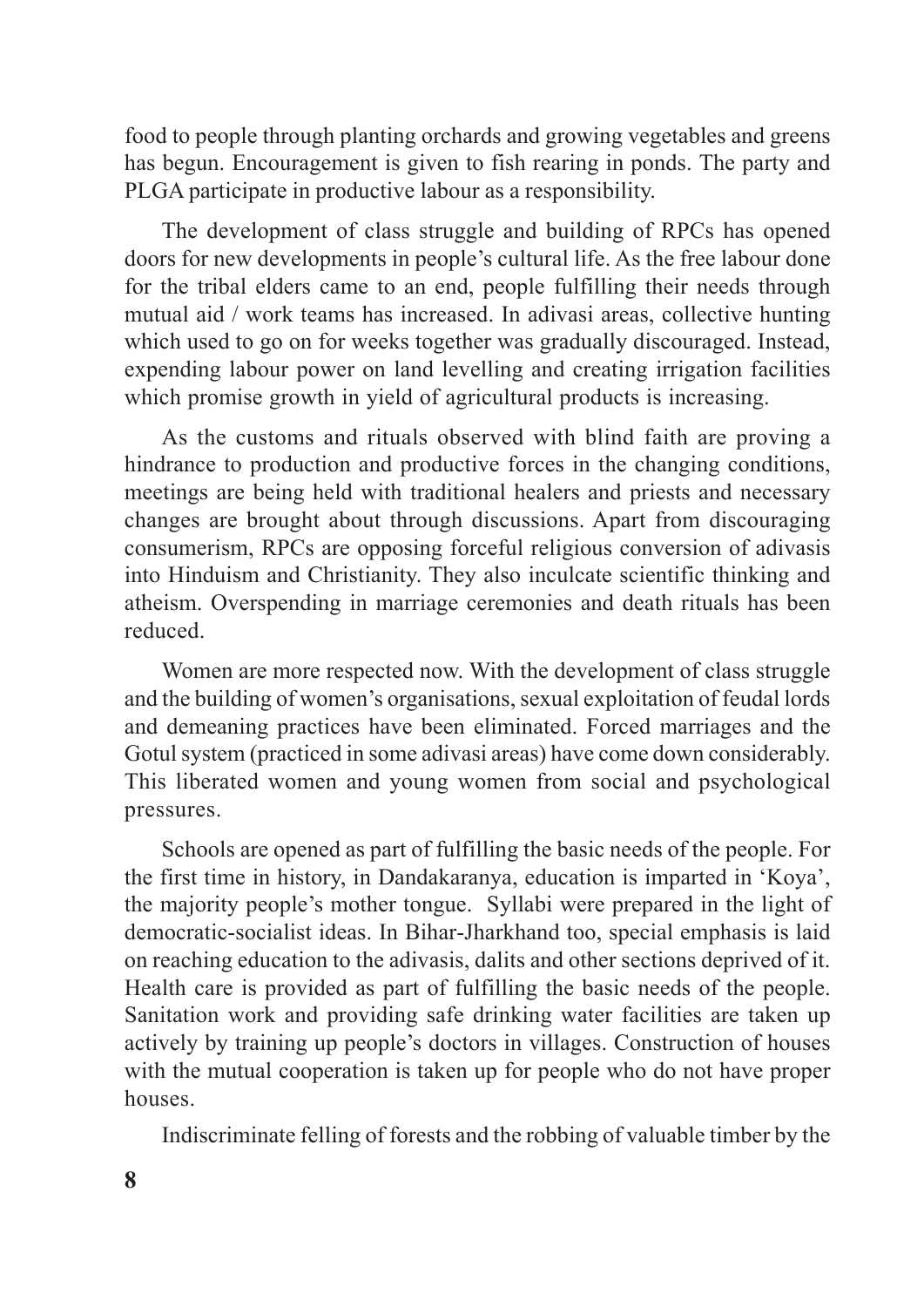food to people through planting orchards and growing vegetables and greens has begun. Encouragement is given to fish rearing in ponds. The party and PLGA participate in productive labour as a responsibility.

The development of class struggle and building of RPCs has opened doors for new developments in people's cultural life. As the free labour done for the tribal elders came to an end, people fulfilling their needs through mutual aid / work teams has increased. In adivasi areas, collective hunting which used to go on for weeks together was gradually discouraged. Instead, expending labour power on land levelling and creating irrigation facilities which promise growth in yield of agricultural products is increasing.

As the customs and rituals observed with blind faith are proving a hindrance to production and productive forces in the changing conditions, meetings are being held with traditional healers and priests and necessary changes are brought about through discussions. Apart from discouraging consumerism, RPCs are opposing forceful religious conversion of adivasis into Hinduism and Christianity. They also inculcate scientific thinking and atheism. Overspending in marriage ceremonies and death rituals has been reduced.

Women are more respected now. With the development of class struggle and the building of women's organisations, sexual exploitation of feudal lords and demeaning practices have been eliminated. Forced marriages and the Gotul system (practiced in some adivasi areas) have come down considerably. This liberated women and young women from social and psychological pressures.

Schools are opened as part of fulfilling the basic needs of the people. For the first time in history, in Dandakaranya, education is imparted in 'Koya', the majority people's mother tongue. Syllabi were prepared in the light of democratic-socialist ideas. In Bihar-Jharkhand too, special emphasis is laid on reaching education to the adivasis, dalits and other sections deprived of it. Health care is provided as part of fulfilling the basic needs of the people. Sanitation work and providing safe drinking water facilities are taken up actively by training up people's doctors in villages. Construction of houses with the mutual cooperation is taken up for people who do not have proper houses.

Indiscriminate felling of forests and the robbing of valuable timber by the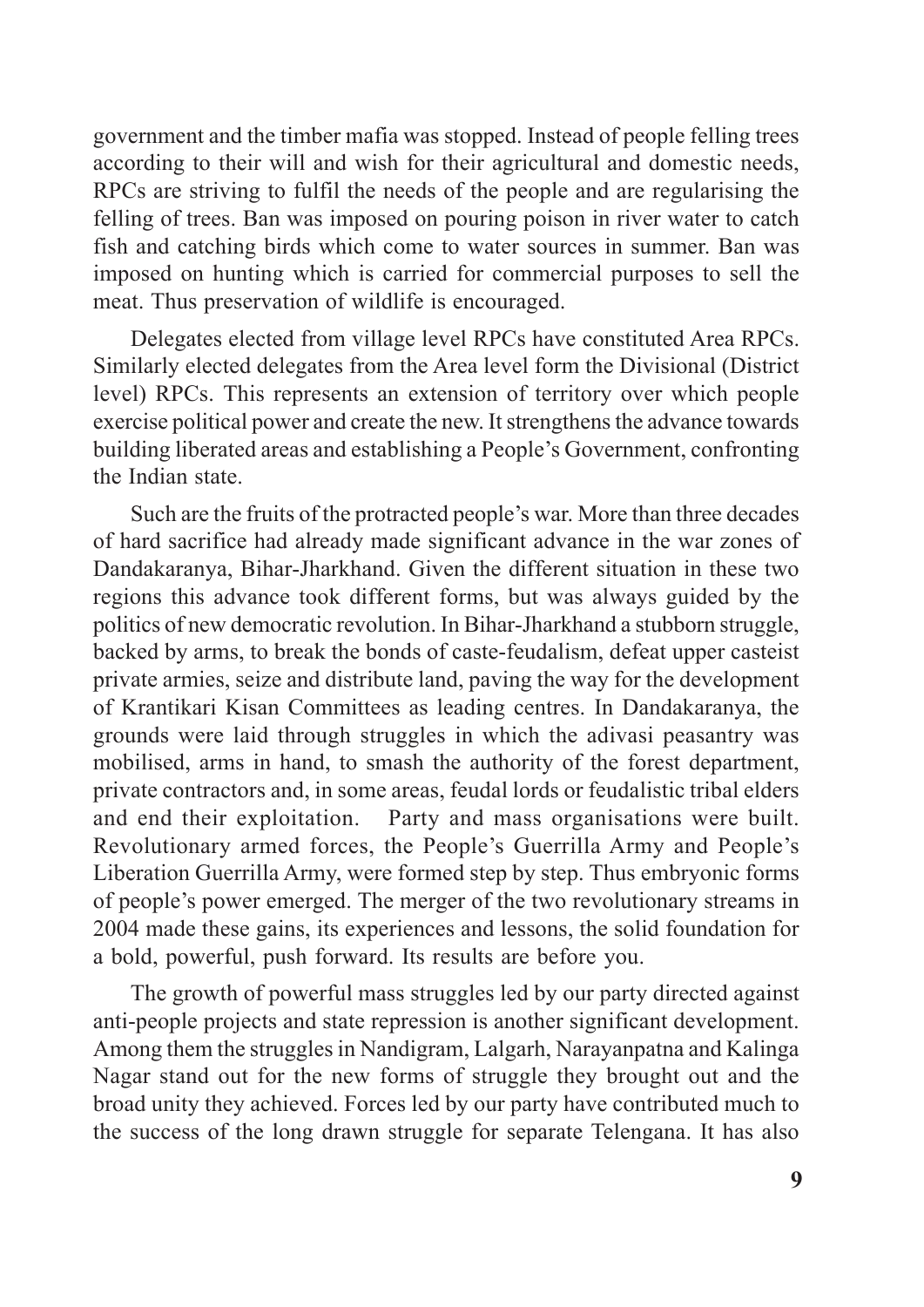government and the timber mafia was stopped. Instead of people felling trees according to their will and wish for their agricultural and domestic needs, RPCs are striving to fulfil the needs of the people and are regularising the felling of trees. Ban was imposed on pouring poison in river water to catch fish and catching birds which come to water sources in summer. Ban was imposed on hunting which is carried for commercial purposes to sell the meat. Thus preservation of wildlife is encouraged.

Delegates elected from village level RPCs have constituted Area RPCs. Similarly elected delegates from the Area level form the Divisional (District level) RPCs. This represents an extension of territory over which people exercise political power and create the new. It strengthens the advance towards building liberated areas and establishing a People's Government, confronting the Indian state.

Such are the fruits of the protracted people's war. More than three decades of hard sacrifice had already made significant advance in the war zones of Dandakaranya, Bihar-Jharkhand. Given the different situation in these two regions this advance took different forms, but was always guided by the politics of new democratic revolution. In Bihar-Jharkhand a stubborn struggle, backed by arms, to break the bonds of caste-feudalism, defeat upper casteist private armies, seize and distribute land, paving the way for the development of Krantikari Kisan Committees as leading centres. In Dandakaranya, the grounds were laid through struggles in which the adivasi peasantry was mobilised, arms in hand, to smash the authority of the forest department, private contractors and, in some areas, feudal lords or feudalistic tribal elders and end their exploitation. Party and mass organisations were built. Revolutionary armed forces, the People's Guerrilla Army and People's Liberation Guerrilla Army, were formed step by step. Thus embryonic forms of people's power emerged. The merger of the two revolutionary streams in 2004 made these gains, its experiences and lessons, the solid foundation for a bold, powerful, push forward. Its results are before you.

The growth of powerful mass struggles led by our party directed against anti-people projects and state repression is another significant development. Among them the struggles in Nandigram, Lalgarh, Narayanpatna and Kalinga Nagar stand out for the new forms of struggle they brought out and the broad unity they achieved. Forces led by our party have contributed much to the success of the long drawn struggle for separate Telengana. It has also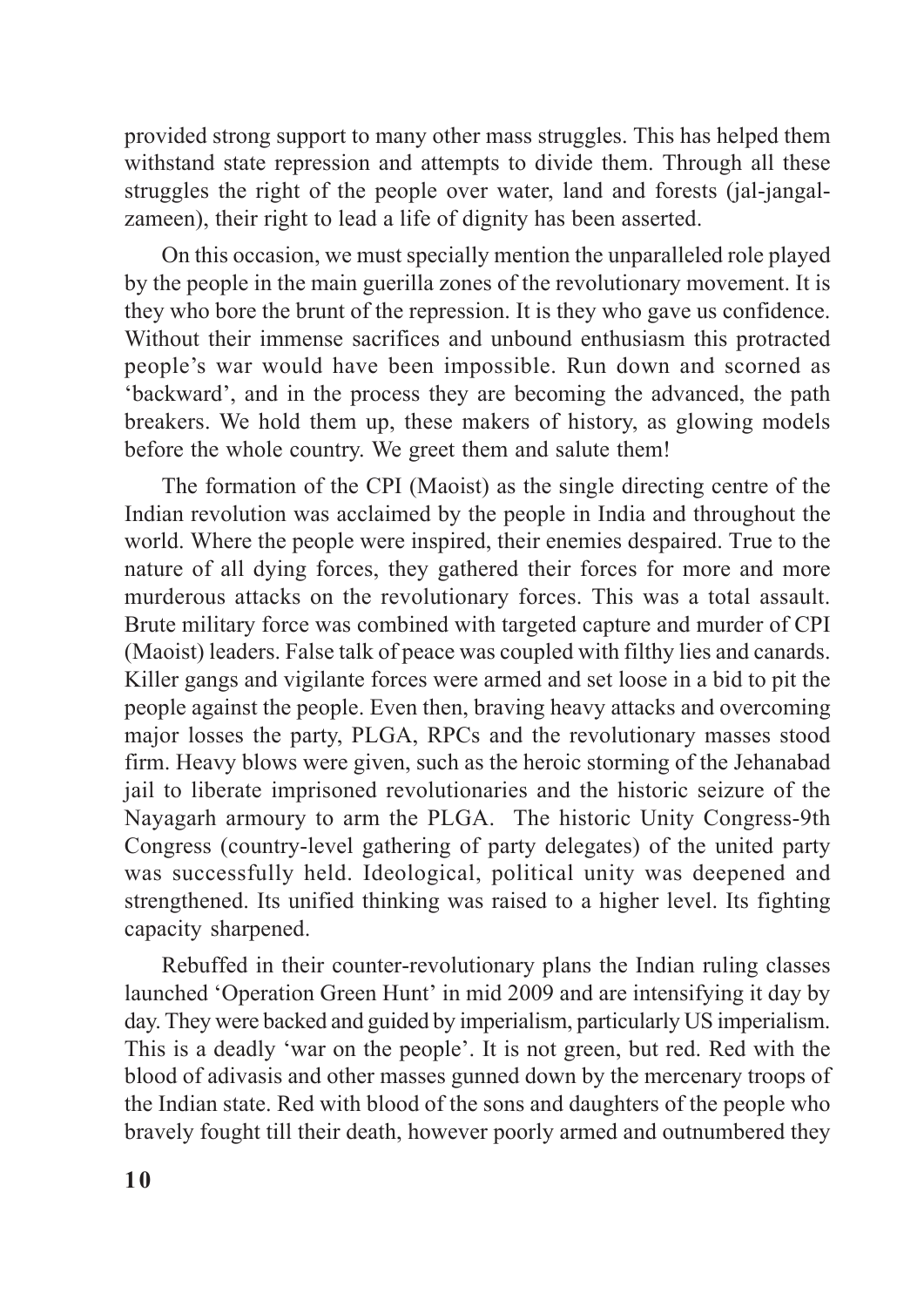provided strong support to many other mass struggles. This has helped them withstand state repression and attempts to divide them. Through all these struggles the right of the people over water, land and forests (jal-jangalzameen), their right to lead a life of dignity has been asserted.

On this occasion, we must specially mention the unparalleled role played by the people in the main guerilla zones of the revolutionary movement. It is they who bore the brunt of the repression. It is they who gave us confidence. Without their immense sacrifices and unbound enthusiasm this protracted people's war would have been impossible. Run down and scorned as 'backward', and in the process they are becoming the advanced, the path breakers. We hold them up, these makers of history, as glowing models before the whole country. We greet them and salute them!

The formation of the CPI (Maoist) as the single directing centre of the Indian revolution was acclaimed by the people in India and throughout the world. Where the people were inspired, their enemies despaired. True to the nature of all dying forces, they gathered their forces for more and more murderous attacks on the revolutionary forces. This was a total assault. Brute military force was combined with targeted capture and murder of CPI (Maoist) leaders. False talk of peace was coupled with filthy lies and canards. Killer gangs and vigilante forces were armed and set loose in a bid to pit the people against the people. Even then, braving heavy attacks and overcoming major losses the party, PLGA, RPCs and the revolutionary masses stood firm. Heavy blows were given, such as the heroic storming of the Jehanabad jail to liberate imprisoned revolutionaries and the historic seizure of the Nayagarh armoury to arm the PLGA. The historic Unity Congress-9th Congress (country-level gathering of party delegates) of the united party was successfully held. Ideological, political unity was deepened and strengthened. Its unified thinking was raised to a higher level. Its fighting capacity sharpened.

Rebuffed in their counter-revolutionary plans the Indian ruling classes launched 'Operation Green Hunt' in mid 2009 and are intensifying it day by day. They were backed and guided by imperialism, particularly US imperialism. This is a deadly 'war on the people'. It is not green, but red. Red with the blood of adivasis and other masses gunned down by the mercenary troops of the Indian state. Red with blood of the sons and daughters of the people who bravely fought till their death, however poorly armed and outnumbered they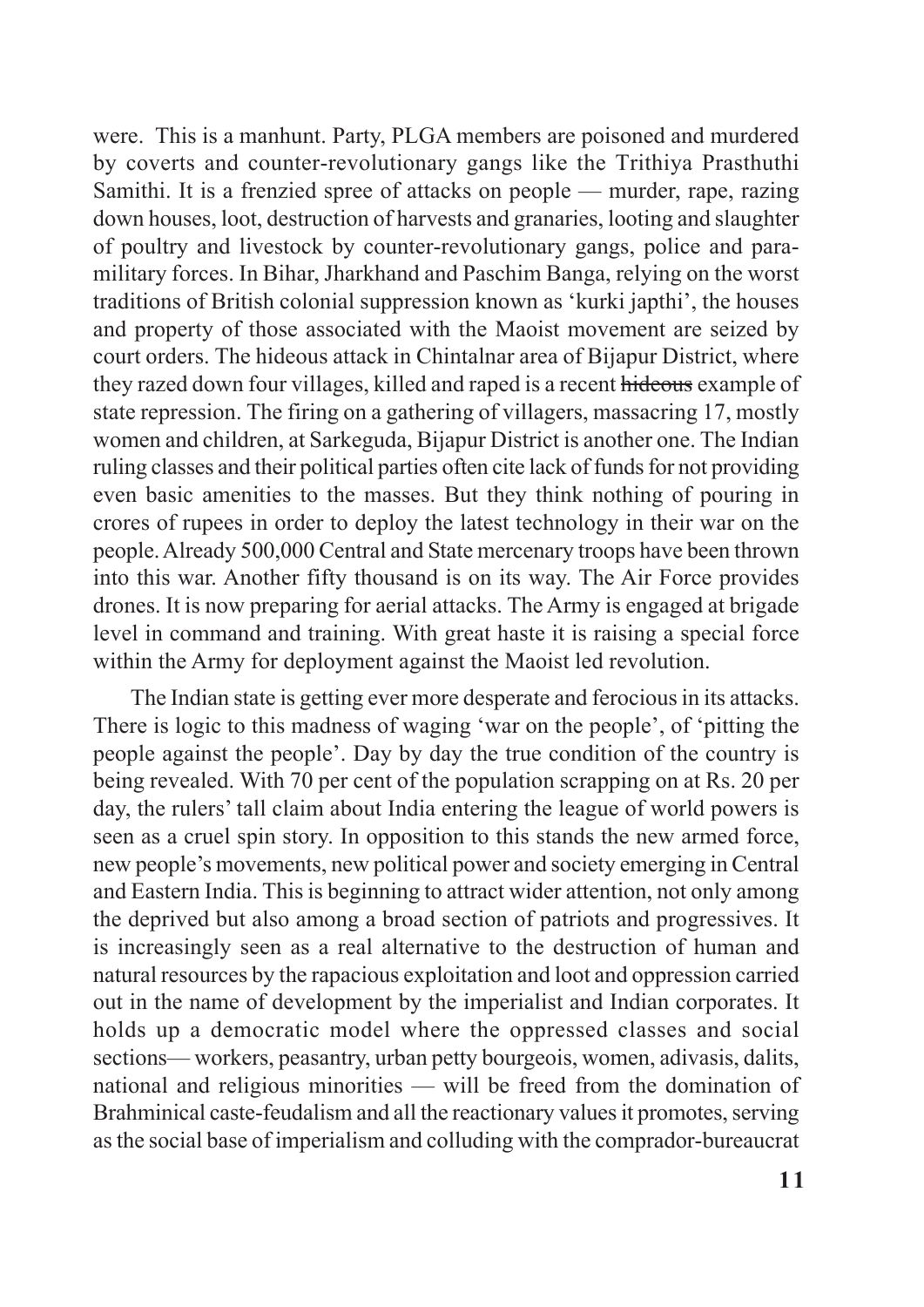were. This is a manhunt. Party, PLGA members are poisoned and murdered by coverts and counter-revolutionary gangs like the Trithiya Prasthuthi Samithi. It is a frenzied spree of attacks on people — murder, rape, razing down houses, loot, destruction of harvests and granaries, looting and slaughter of poultry and livestock by counter-revolutionary gangs, police and paramilitary forces. In Bihar, Jharkhand and Paschim Banga, relying on the worst traditions of British colonial suppression known as 'kurki japthi', the houses and property of those associated with the Maoist movement are seized by court orders. The hideous attack in Chintalnar area of Bijapur District, where they razed down four villages, killed and raped is a recent hideous example of state repression. The firing on a gathering of villagers, massacring 17, mostly women and children, at Sarkeguda, Bijapur District is another one. The Indian ruling classes and their political parties often cite lack of funds for not providing even basic amenities to the masses. But they think nothing of pouring in crores of rupees in order to deploy the latest technology in their war on the people. Already 500,000 Central and State mercenary troops have been thrown into this war. Another fifty thousand is on its way. The Air Force provides drones. It is now preparing for aerial attacks. The Army is engaged at brigade level in command and training. With great haste it is raising a special force within the Army for deployment against the Maoist led revolution.

The Indian state is getting ever more desperate and ferocious in its attacks. There is logic to this madness of waging 'war on the people', of 'pitting the people against the people'. Day by day the true condition of the country is being revealed. With 70 per cent of the population scrapping on at Rs. 20 per day, the rulers' tall claim about India entering the league of world powers is seen as a cruel spin story. In opposition to this stands the new armed force, new people's movements, new political power and society emerging in Central and Eastern India. This is beginning to attract wider attention, not only among the deprived but also among a broad section of patriots and progressives. It is increasingly seen as a real alternative to the destruction of human and natural resources by the rapacious exploitation and loot and oppression carried out in the name of development by the imperialist and Indian corporates. It holds up a democratic model where the oppressed classes and social sections— workers, peasantry, urban petty bourgeois, women, adivasis, dalits, national and religious minorities — will be freed from the domination of Brahminical caste-feudalism and all the reactionary values it promotes, serving as the social base of imperialism and colluding with the comprador-bureaucrat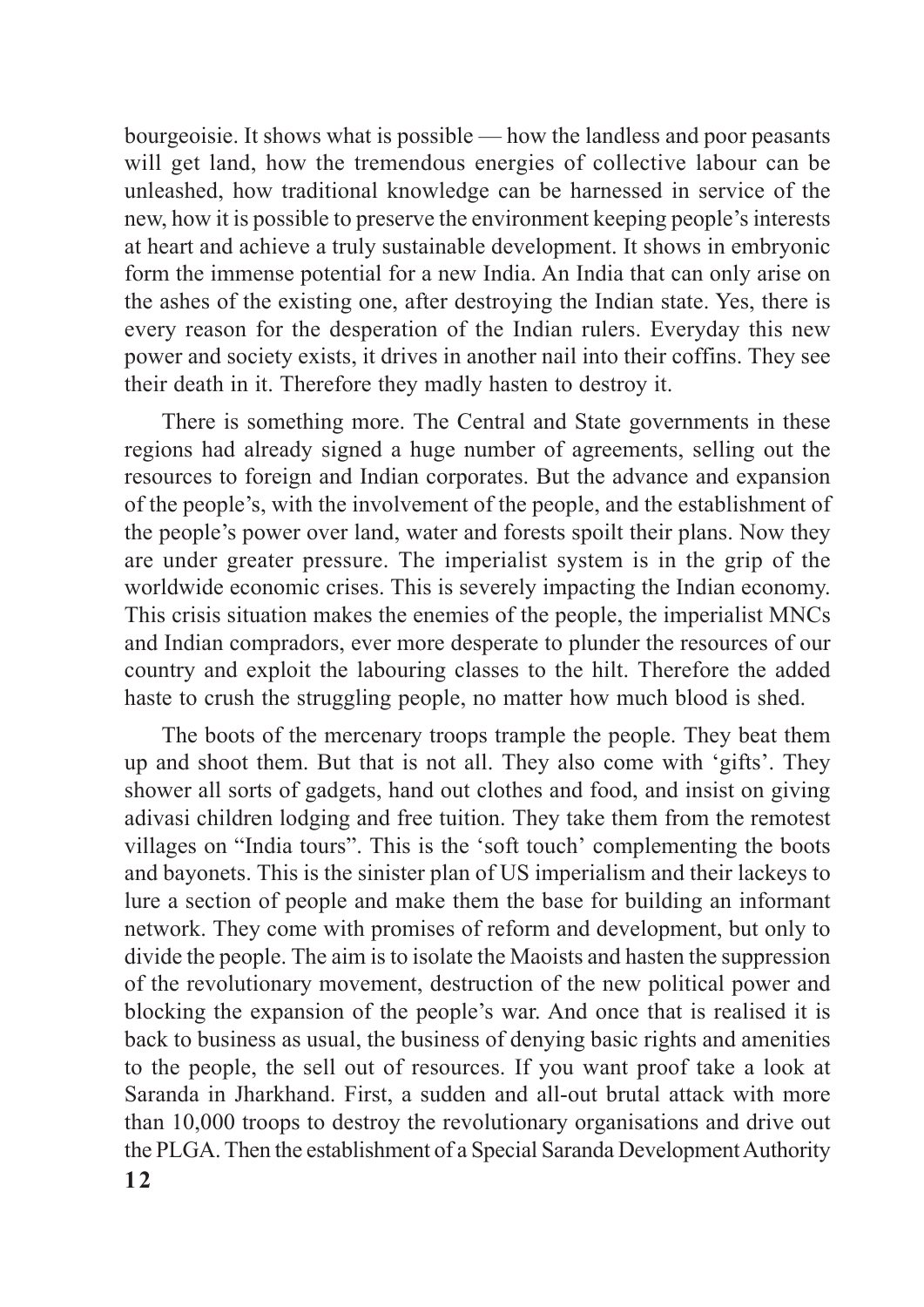bourgeoisie. It shows what is possible — how the landless and poor peasants will get land, how the tremendous energies of collective labour can be unleashed, how traditional knowledge can be harnessed in service of the new, how it is possible to preserve the environment keeping people's interests at heart and achieve a truly sustainable development. It shows in embryonic form the immense potential for a new India. An India that can only arise on the ashes of the existing one, after destroying the Indian state. Yes, there is every reason for the desperation of the Indian rulers. Everyday this new power and society exists, it drives in another nail into their coffins. They see their death in it. Therefore they madly hasten to destroy it.

There is something more. The Central and State governments in these regions had already signed a huge number of agreements, selling out the resources to foreign and Indian corporates. But the advance and expansion of the people's, with the involvement of the people, and the establishment of the people's power over land, water and forests spoilt their plans. Now they are under greater pressure. The imperialist system is in the grip of the worldwide economic crises. This is severely impacting the Indian economy. This crisis situation makes the enemies of the people, the imperialist MNCs and Indian compradors, ever more desperate to plunder the resources of our country and exploit the labouring classes to the hilt. Therefore the added haste to crush the struggling people, no matter how much blood is shed.

The boots of the mercenary troops trample the people. They beat them up and shoot them. But that is not all. They also come with 'gifts'. They shower all sorts of gadgets, hand out clothes and food, and insist on giving adivasi children lodging and free tuition. They take them from the remotest villages on "India tours". This is the 'soft touch' complementing the boots and bayonets. This is the sinister plan of US imperialism and their lackeys to lure a section of people and make them the base for building an informant network. They come with promises of reform and development, but only to divide the people. The aim is to isolate the Maoists and hasten the suppression of the revolutionary movement, destruction of the new political power and blocking the expansion of the people's war. And once that is realised it is back to business as usual, the business of denying basic rights and amenities to the people, the sell out of resources. If you want proof take a look at Saranda in Jharkhand. First, a sudden and all-out brutal attack with more than 10,000 troops to destroy the revolutionary organisations and drive out the PLGA. Then the establishment of a Special Saranda Development Authority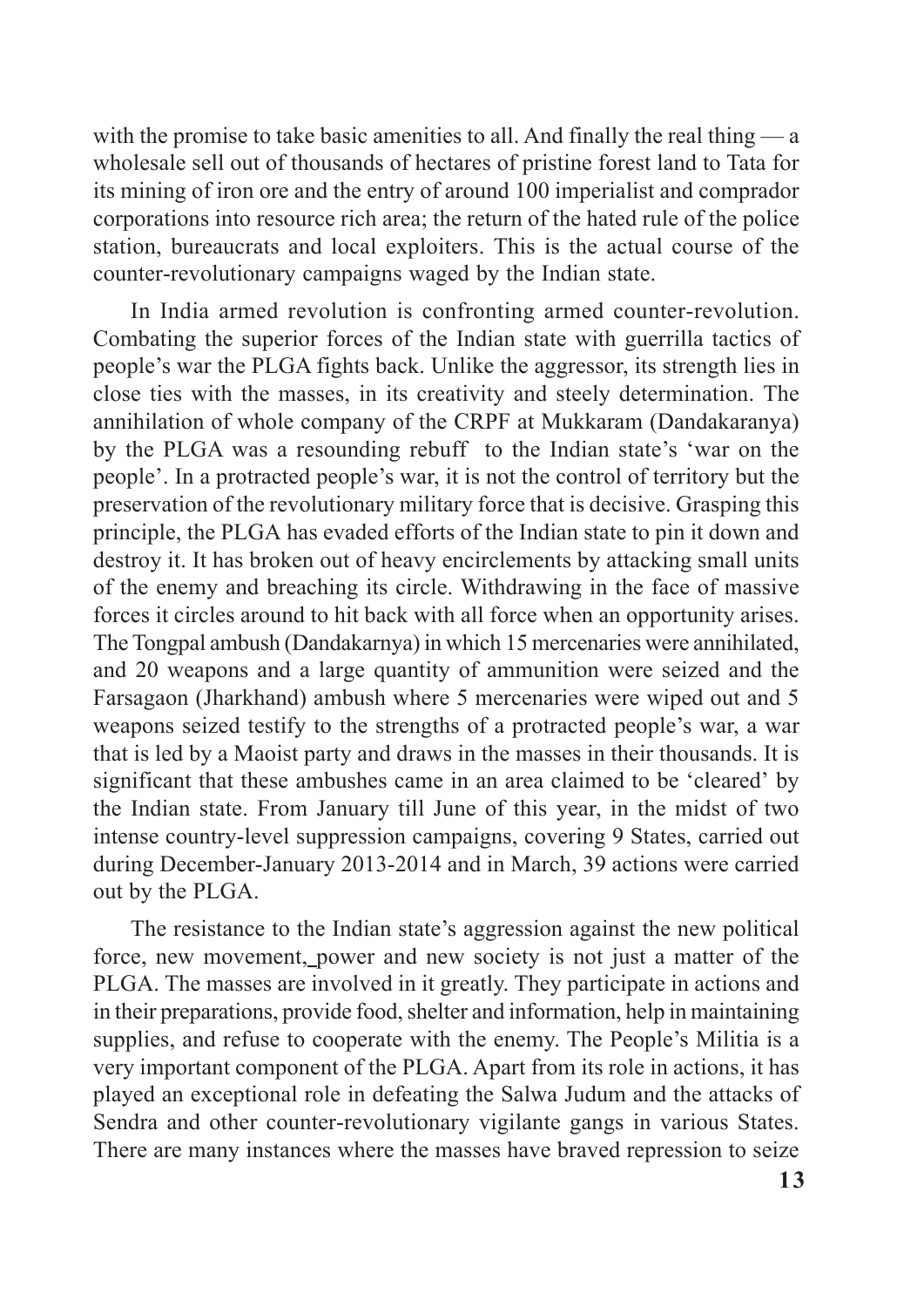with the promise to take basic amenities to all. And finally the real thing — a wholesale sell out of thousands of hectares of pristine forest land to Tata for its mining of iron ore and the entry of around 100 imperialist and comprador corporations into resource rich area; the return of the hated rule of the police station, bureaucrats and local exploiters. This is the actual course of the counter-revolutionary campaigns waged by the Indian state.

In India armed revolution is confronting armed counter-revolution. Combating the superior forces of the Indian state with guerrilla tactics of people's war the PLGA fights back. Unlike the aggressor, its strength lies in close ties with the masses, in its creativity and steely determination. The annihilation of whole company of the CRPF at Mukkaram (Dandakaranya) by the PLGA was a resounding rebuff to the Indian state's 'war on the people'. In a protracted people's war, it is not the control of territory but the preservation of the revolutionary military force that is decisive. Grasping this principle, the PLGA has evaded efforts of the Indian state to pin it down and destroy it. It has broken out of heavy encirclements by attacking small units of the enemy and breaching its circle. Withdrawing in the face of massive forces it circles around to hit back with all force when an opportunity arises. The Tongpal ambush (Dandakarnya) in which 15 mercenaries were annihilated, and 20 weapons and a large quantity of ammunition were seized and the Farsagaon (Jharkhand) ambush where 5 mercenaries were wiped out and 5 weapons seized testify to the strengths of a protracted people's war, a war that is led by a Maoist party and draws in the masses in their thousands. It is significant that these ambushes came in an area claimed to be 'cleared' by the Indian state. From January till June of this year, in the midst of two intense country-level suppression campaigns, covering 9 States, carried out during December-January 2013-2014 and in March, 39 actions were carried out by the PLGA.

The resistance to the Indian state's aggression against the new political force, new movement, power and new society is not just a matter of the PLGA. The masses are involved in it greatly. They participate in actions and in their preparations, provide food, shelter and information, help in maintaining supplies, and refuse to cooperate with the enemy. The People's Militia is a very important component of the PLGA. Apart from its role in actions, it has played an exceptional role in defeating the Salwa Judum and the attacks of Sendra and other counter-revolutionary vigilante gangs in various States. There are many instances where the masses have braved repression to seize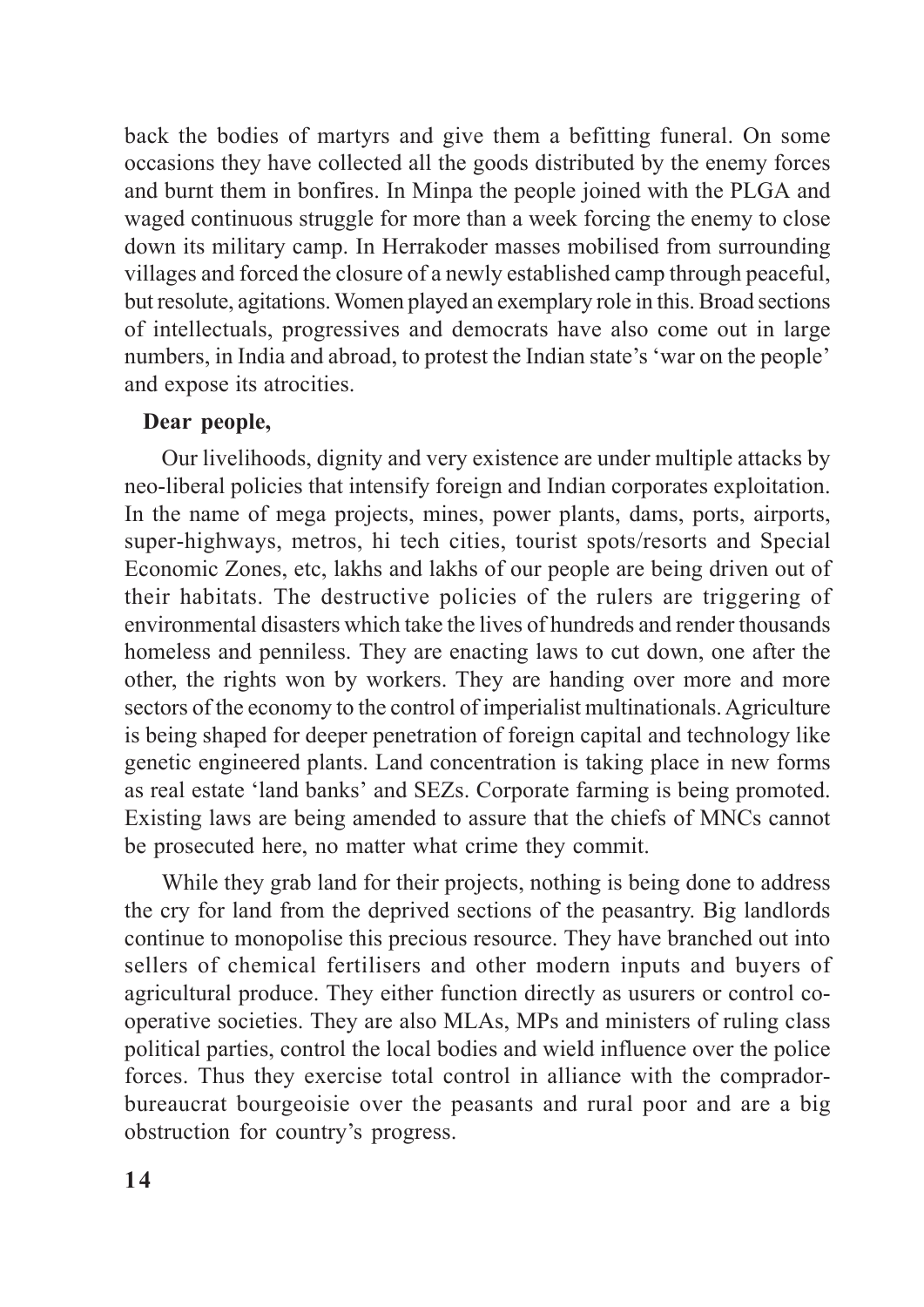back the bodies of martyrs and give them a befitting funeral. On some occasions they have collected all the goods distributed by the enemy forces and burnt them in bonfires. In Minpa the people joined with the PLGA and waged continuous struggle for more than a week forcing the enemy to close down its military camp. In Herrakoder masses mobilised from surrounding villages and forced the closure of a newly established camp through peaceful, but resolute, agitations. Women played an exemplary role in this. Broad sections of intellectuals, progressives and democrats have also come out in large numbers, in India and abroad, to protest the Indian state's 'war on the people' and expose its atrocities.

#### **Dear people,**

Our livelihoods, dignity and very existence are under multiple attacks by neo-liberal policies that intensify foreign and Indian corporates exploitation. In the name of mega projects, mines, power plants, dams, ports, airports, super-highways, metros, hi tech cities, tourist spots/resorts and Special Economic Zones, etc, lakhs and lakhs of our people are being driven out of their habitats. The destructive policies of the rulers are triggering of environmental disasters which take the lives of hundreds and render thousands homeless and penniless. They are enacting laws to cut down, one after the other, the rights won by workers. They are handing over more and more sectors of the economy to the control of imperialist multinationals. Agriculture is being shaped for deeper penetration of foreign capital and technology like genetic engineered plants. Land concentration is taking place in new forms as real estate 'land banks' and SEZs. Corporate farming is being promoted. Existing laws are being amended to assure that the chiefs of MNCs cannot be prosecuted here, no matter what crime they commit.

While they grab land for their projects, nothing is being done to address the cry for land from the deprived sections of the peasantry. Big landlords continue to monopolise this precious resource. They have branched out into sellers of chemical fertilisers and other modern inputs and buyers of agricultural produce. They either function directly as usurers or control cooperative societies. They are also MLAs, MPs and ministers of ruling class political parties, control the local bodies and wield influence over the police forces. Thus they exercise total control in alliance with the compradorbureaucrat bourgeoisie over the peasants and rural poor and are a big obstruction for country's progress.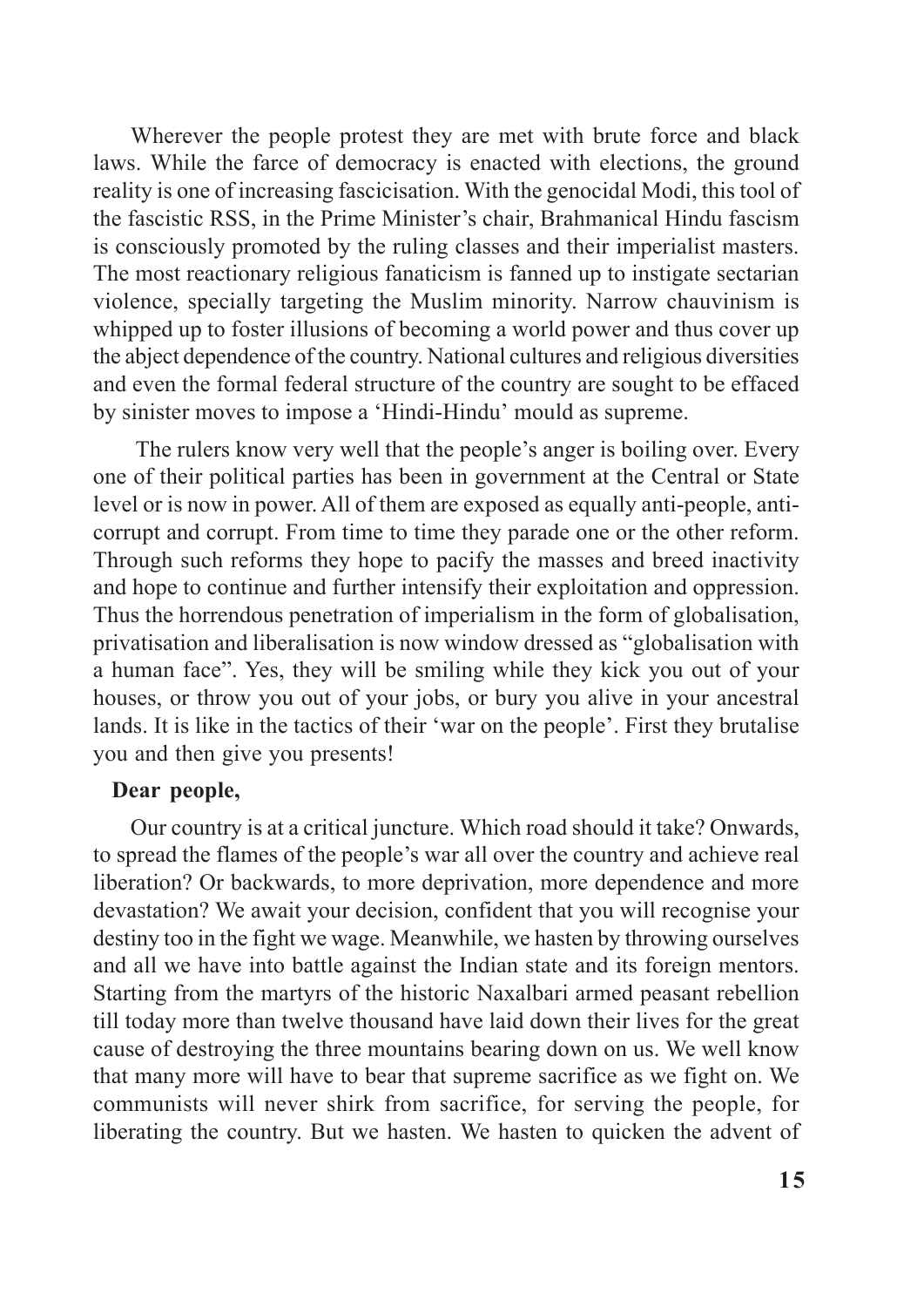Wherever the people protest they are met with brute force and black laws. While the farce of democracy is enacted with elections, the ground reality is one of increasing fascicisation. With the genocidal Modi, this tool of the fascistic RSS, in the Prime Minister's chair, Brahmanical Hindu fascism is consciously promoted by the ruling classes and their imperialist masters. The most reactionary religious fanaticism is fanned up to instigate sectarian violence, specially targeting the Muslim minority. Narrow chauvinism is whipped up to foster illusions of becoming a world power and thus cover up the abject dependence of the country. National cultures and religious diversities and even the formal federal structure of the country are sought to be effaced by sinister moves to impose a 'Hindi-Hindu' mould as supreme.

 The rulers know very well that the people's anger is boiling over. Every one of their political parties has been in government at the Central or State level or is now in power. All of them are exposed as equally anti-people, anticorrupt and corrupt. From time to time they parade one or the other reform. Through such reforms they hope to pacify the masses and breed inactivity and hope to continue and further intensify their exploitation and oppression. Thus the horrendous penetration of imperialism in the form of globalisation, privatisation and liberalisation is now window dressed as "globalisation with a human face". Yes, they will be smiling while they kick you out of your houses, or throw you out of your jobs, or bury you alive in your ancestral lands. It is like in the tactics of their 'war on the people'. First they brutalise you and then give you presents!

### **Dear people,**

Our country is at a critical juncture. Which road should it take? Onwards, to spread the flames of the people's war all over the country and achieve real liberation? Or backwards, to more deprivation, more dependence and more devastation? We await your decision, confident that you will recognise your destiny too in the fight we wage. Meanwhile, we hasten by throwing ourselves and all we have into battle against the Indian state and its foreign mentors. Starting from the martyrs of the historic Naxalbari armed peasant rebellion till today more than twelve thousand have laid down their lives for the great cause of destroying the three mountains bearing down on us. We well know that many more will have to bear that supreme sacrifice as we fight on. We communists will never shirk from sacrifice, for serving the people, for liberating the country. But we hasten. We hasten to quicken the advent of